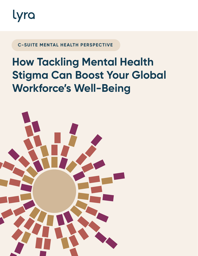

**C-SUITE MENTAL HEALTH PERSPECTIVE**

## **How Tackling Mental Health Stigma Can Boost Your Global Workforce's Well-Being**

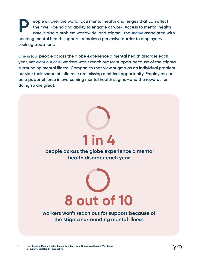**eople all over the world face mental health challenges that can affect their well-being and ability to engage at work. Access to mental health care is also a problem worldwide, and stigma—the [shame](https://www.mayoclinic.org/diseases-conditions/mental-illness/in-depth/mental-health/art-20046477) associated with needing mental health support—remains a pervasive barrier to employees seeking treatment. P**

**[One in four](https://www.who.int/news/item/28-09-2001-the-world-health-report-2001-mental-disorders-affect-one-in-four-people#:~:text=One%20in%20four%20people%20in,ill%2Dhealth%20and%20disability%20worldwide.) people across the globe experience a mental health disorder each year, yet [eight out of 1](https://www.nami.org/Get-Involved/Pledge-to-Be-StigmaFree/StigmaFree-Company)0 workers won't reach out for support because of the stigma surrounding mental illness. Companies that view stigma as an individual problem outside their scope of influence are missing a critical opportunity. Employers can be a powerful force in overcoming mental health stigma—and the rewards for doing so are great.**



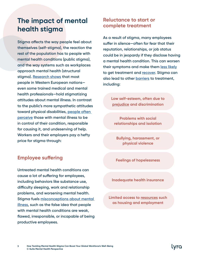## **The impact of mental health stigma**

**Stigma affects the way people feel about themselves (self-stigma), the reaction the rest of the population has to people with mental health conditions (public stigma), and the way systems such as workplaces approach mental health (structural stigma). [Research shows](https://www.ncbi.nlm.nih.gov/pmc/articles/PMC1489832/) that most people in Western European nations even some trained medical and mental health professionals—hold stigmatizing attitudes about mental illness. In contrast to the public's more sympathetic attitudes toward physical disabilities, [people often](https://www.ncbi.nlm.nih.gov/pmc/articles/PMC1489832/#B35)  [perceive](https://www.ncbi.nlm.nih.gov/pmc/articles/PMC1489832/#B35) those with mental illness to be in control of their condition, responsible for causing it, and undeserving of help. Workers and their employers pay a hefty price for stigma through:**

#### **Employee suffering**

**Untreated mental health conditions can cause a lot of suffering for employees, including behaviors like substance use, difficulty sleeping, work and relationship problems, and worsening mental health. Stigma fuels [misconceptions about mental](https://www.lyrahealth.com/blog/misconceptions-about-mental-illness/)  [illness,](https://www.lyrahealth.com/blog/misconceptions-about-mental-illness/) such as the false idea that people with mental health conditions are weak, flawed, irresponsible, or incapable of being productive employees.**

#### **Reluctance to start or complete treatment**

**As a result of stigma, many employees suffer in silence—often for fear that their reputation, relationships, or job status could be in jeopardy if they disclose having a mental health condition. This can worsen their symptoms and make them [less likely](https://journals.sagepub.com/doi/10.1177/1529100614531398) to get treatment and [recover.](https://pubmed.ncbi.nlm.nih.gov/28188369/) Stigma can also lead to other [barriers](https://www.psychiatry.org/patients-families/stigma-and-discrimination) to treatment, including:**

> **Low self-esteem, often due to [prejudice](https://www.cambridge.org/core/journals/european-psychiatry/article/mental-illness-stigma-concepts-consequences-and-initiatives-to-reduce-stigma/3AE7283F0F35980994B4BD71E92C3C08) and discrimination**

**Problems with social relationships and isolation**

**Bullying, harassment, or physical violence**

**Feelings of hopelessness**

**Inadequate health insurance**

**Limited access to [resources](https://www.ncbi.nlm.nih.gov/books/NBK44249/) such as housing and employment**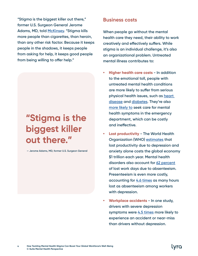**"Stigma is the biggest killer out there," former U.S. Surgeon General Jerome Adams, MD, told [McKinsey.](https://www.mckinsey.com/industries/healthcare-systems-and-services/our-insights/how-employers-can-improve-their-approach-to-mental-health-at-work) "Stigma kills more people than cigarettes, than heroin, than any other risk factor. Because it keeps people in the shadows, it keeps people from asking for help, it keeps good people from being willing to offer help."**

# **"Stigma is the biggest killer out there."**

**— Jerome Adams, MD, former U.S. Surgeon General**

#### **Business costs**

**When people go without the mental health care they need, their ability to work creatively and effectively suffers. While stigma is an individual challenge, it's also an organizational problem. Untreated mental illness contributes to:** 

- **• Higher health care costs In addition to the emotional toll, people with untreated mental health conditions are more likely to suffer from serious physical health issues, such as [heart](https://www.ncbi.nlm.nih.gov/pmc/articles/PMC6016051/)  [disease](https://www.ncbi.nlm.nih.gov/pmc/articles/PMC6016051/) and [diabetes](https://care.diabetesjournals.org/content/41/7/e119). They're also [more likely to](https://www.frontiersin.org/articles/10.3389/fpsyt.2020.00573/full) seek care for mental health symptoms in the emergency department, which can be costly and ineffective.**
- **• Lost productivity The World Health Organization (WHO) [estimates](https://www.who.int/teams/mental-health-and-substance-use/mental-health-in-the-workplace) that lost productivity due to depression and anxiety alone costs the global economy \$1 trillion each year. Mental health disorders also account for [62 percent](https://namimass.org/wp-content/uploads/BAD-FOR-BUSINESS.pdf) of lost work days due to absenteeism. Presenteeism is even more costly, accounting for [4.6 times](https://www.centreformentalhealth.org.uk/sites/default/files/2018-09/mental_health_at_work.pdf) as many hours lost as absenteeism among workers with depression.**
- **• Workplace accidents In one study, drivers with severe depression symptoms were [4.5 times](https://namimass.org/wp-content/uploads/BAD-FOR-BUSINESS.pdf) more likely to experience an accident or near-miss than drivers without depression.**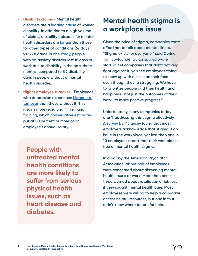- **• Disability claims Mental health disorders are a [leading cause](https://www.who.int/news-room/fact-sheets/detail/depression#:~:text=Depression%20is%20a%20leading%20cause,overall%20global%20burden%20of%20disease.) of worker disability. In addition to a high volume of claims, disability episodes for mental health disorders are [longer](https://namimass.org/wp-content/uploads/BAD-FOR-BUSINESS.pdf) than those for other types of conditions (67 days vs. 33.8 days). In [one study](https://www.ibiweb.org/wp-content/uploads/2018/01/Workforce_Depression.pdf), people with an anxiety disorder lost 18 days of work due to disability in the past three months, compared to 5.7 disability days in people without a mental health disorder.**
- **• Higher employee turnover Employees with depression experience [higher job](https://www.ncbi.nlm.nih.gov/pmc/articles/PMC4283817/)  [turnover](https://www.ncbi.nlm.nih.gov/pmc/articles/PMC4283817/) than those without it. This means more recruiting, hiring, and training, which [conservative estimates](https://www.shrm.org/hr-today/trends-and-forecasting/special-reports-and-expert-views/Documents/Retaining-Talent.pdf) put at 50 percent or more of an employee's annual salary.**

**People with untreated mental health conditions are more likely to suffer from serious physical health issues, such as heart disease and diabetes.**

### **Mental health stigma is a workplace issue**

**Given the price of stigma, companies can't afford not to talk about mental illness. "Stigma exists for everyone," said Corine Tan, co-founder at Kona, a software startup. "At companies that don't actively fight against it, you see employees trying to show up with a smile on their face even though they're struggling. We have to prioritize people and their health and happiness—not just the outcomes of their work—to make positive progress."**

**Unfortunately, many companies today aren't addressing this stigma effectively. A [survey by McKinsey](https://www.mckinsey.com/industries/healthcare-systems-and-services/our-insights/overcoming-stigma-three-strategies-toward-better-mental-health-in-the-workplace) found that most employers acknowledge that stigma is an issue in the workplace, yet less than one in 10 employees report that their workplace is free of mental health stigma.** 

**In a poll by the American Psychiatric Association, [about half](https://www.psychiatry.org/newsroom/news-releases/about-half-of-workers-are-concerned-about-discussing-mental-health-issues-in-the-workplace-a-third-worry-about-consequences-if-they-seek-help) of employees were concerned about discussing mental health issues at work. More than one in three worried about retaliation or job loss if they sought mental health care. Most employees were willing to help a co-worker access helpful resources, but one in four didn't know where to turn for help.**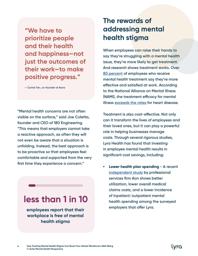**"We have to prioritize people and their health and happiness—not just the outcomes of their work—to make positive progress."**

**— Corine Tan, co-founder at Kona**

**"Mental health concerns are not often visible on the surface," said Joe Coletta, founder and CEO of 180 Engineering. "This means that employers cannot take a reactive approach, as often they will not even be aware that a situation is unfolding. Instead, the best approach is to be proactive so that employees feel comfortable and supported from the very first time they experience a concern."**

## **less than 1 in 10**

**employees report that their workplace is free of mental health stigma**

**6**

## **The rewards of addressing mental health stigma**

**When employees can raise their hands to say they're struggling with a mental health issue, they're more likely to get treatment. And research shows treatment works. Over [80 percent](https://workplacementalhealth.org/making-the-business-case) of employees who receive mental health treatment say they're more effective and satisfied at work. According to the National Alliance on Mental Illness (NAMI), the treatment efficacy for mental illness [exceeds the rates](https://www.nami.org/Press-Media/Press-Releases/2002/Mental-Health-Parity-Benefits-Outweigh-Costs-and) for heart disease.** 

**Treatment is also cost-effective. Not only can it transform the lives of employees and their loved ones, but it can play a powerful role in helping businesses manage costs. Through several rigorous studies, Lyra Health has found that investing in employee mental health results in significant cost savings, including:**

**• Lower health plan spending - A recent [independent study](https://get.lyrahealth.com/lyra-reduces-medical-claims-costs-for-employers.html) by professional services firm Aon shows better utilization, lower overall medical claims costs, and a lower incidence of inpatient/outpatient mental health spending among the surveyed employers that offer Lyra.**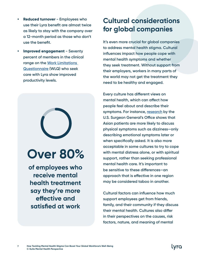- **• Reduced turnover Employees who use their Lyra benefit are almost twice as likely to stay with the company over a 12-month period as those who don't use the benefit.**
- **• Improved engagement Seventy percent of members in the clinical range on the [Work Limitations](https://www.researchgate.net/publication/286818004_The_work_limitations_questionnaire)  [Questionnaire](https://www.researchgate.net/publication/286818004_The_work_limitations_questionnaire) (WLQ) who seek care with Lyra show improved productivity levels.**



**of employees who receive mental health treatment say they're more effective and satisfied at work**

## **Cultural considerations for global companies**

**It's even more crucial for global companies to address mental health stigma. Cultural influences impact how people cope with mental health symptoms and whether they seek treatment. Without support from their employers, workers in many parts of the world may not get the treatment they need to be healthy and engaged.** 

**Every culture has different views on mental health, which can affect how people feel about and describe their symptoms. For instance, [research](https://www.ncbi.nlm.nih.gov/books/NBK44249/) by the U.S. Surgeon General's Office shows that Asian patients are more likely to discuss physical symptoms such as dizziness—only describing emotional symptoms later or when specifically asked. It is also more acceptable in some cultures to try to cope with mental distress alone, or with spiritual support, rather than seeking professional mental health care. It's important to be sensitive to these differences—an approach that is effective in one region may be considered taboo in another.** 

**Cultural factors can influence how much support employees get from friends, family, and their community if they discuss their mental health. Cultures also differ in their perspectives on the causes, risk factors, nature, and meaning of mental** 

**7**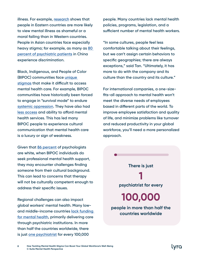**illness. For example, [research](https://krendlab.sitehost.iu.edu/upload/ACK_BAP_2020.pdf) shows that people in Eastern countries are more likely to view mental illness as shameful or a moral failing than in Western countries. People in Asian countries face especially heavy stigma; for example, as many as [80](https://www.ncbi.nlm.nih.gov/pmc/articles/PMC6981757/)  [percent of psychiatric patients](https://www.ncbi.nlm.nih.gov/pmc/articles/PMC6981757/) in China experience discrimination.**

**Black, Indigenous, and People of Color (BIPOC) communities face [unique](https://www.lyrahealth.com/blog/mental-health-in-the-black-community/)  [stigmas](https://www.lyrahealth.com/blog/mental-health-in-the-black-community/) that make it difficult to access mental health care. For example, BIPOC communities have historically been forced to engage in "survival mode" to endure [systemic oppression](https://www.verywellmind.com/the-link-between-systemic-racism-and-mental-health-5076410). They have also had [less access](https://ct.counseling.org/2020/05/the-historical-roots-of-racial-disparities-in-the-mental-health-system/) and ability to afford mental health services. This has led many BIPOC people to experience cultural communication that mental health care is a luxury or sign of weakness.**

**Given that [86 percent](https://www.apa.org/monitor/2018/02/datapoint#:~:text=In%202015%2C%2086%20percent%20of,from%20other%20racial%2Fethnic%20groups.) of psychologists are white, when BIPOC individuals do seek professional mental health support, they may encounter challenges finding someone from their cultural background. This can lead to concerns that therapy will not be culturally competent enough to address their specific issues.**

**Regional challenges can also impact global workers' mental health. Many lowand middle-income countries [lack funding](https://www.ncbi.nlm.nih.gov/pmc/articles/PMC4355984/)  [for mental health](https://www.ncbi.nlm.nih.gov/pmc/articles/PMC4355984/), primarily delivering care through psychiatric institutions. In more than half the countries worldwide, there is just [one psychiatrist](https://www.who.int/news/item/28-09-2001-the-world-health-report-2001-mental-disorders-affect-one-in-four-people) for every 100,000** 

**people. Many countries lack mental health policies, programs, legislation, and a sufficient number of mental health workers.** 

**"In some cultures, people feel less comfortable talking about their feelings, but we can't assign certain behaviors to specific geographies; there are always exceptions," said Tan. "Ultimately, it has more to do with the company and its culture than the country and its culture."**

**For international companies, a one-sizefits-all approach to mental health won't meet the diverse needs of employees based in different parts of the world. To improve employee satisfaction and quality of life, and minimize problems like turnover and reduced productivity in your global workforce, you'll need a more personalized approach.**

**psychiatrist for every people in more than half the countries worldwide There is just 1 100,000**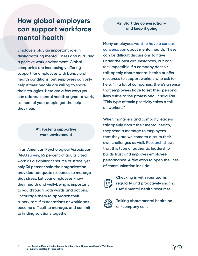## **How global employers can support workforce mental health**

**Employers play an important role in destigmatizing mental illness and nurturing a positive work environment. Global companies are increasingly offering support for employees with behavioral health conditions, but employers can only help if their people are willing to share their struggles. Here are a few ways you can address mental health stigma at work, so more of your people get the help they need.**

#### **#1: Foster a supportive work environment**

**In an American Psychological Association (APA) [survey](https://www.apa.org/news/press/releases/2013/03/employee-needs), 65 percent of adults cited work as a significant source of stress, yet only 36 percent said their organization provided adequate resources to manage that stress. Let your employees know their health and well-being is important to you through both words and actions. Encourage them to approach their supervisors if expectations or workloads become difficult to manage, and commit to finding solutions together.**

#### **#2: Start the conversation and keep it going**

**Many employees [want to have a serious](https://www.qualtrics.com/blog/confronting-mental-health/)  [conversation](https://www.qualtrics.com/blog/confronting-mental-health/) about mental health. These can be difficult discussions to have under the best circumstances, but can feel impossible if a company doesn't talk openly about mental health or offer resources to support workers who ask for help. "In a lot of companies, there's a sense that employees have to set their personal lives aside to 'be professional,'" said Tan. "This type of toxic positivity takes a toll on workers."**

**When managers and company leaders talk openly about their mental health, they send a message to employees that they are welcome to discuss their own challenges as well. [Research](https://journals.sagepub.com/doi/abs/10.1177/1548051808326596) shows that this type of authentic leadership builds trust and improves employee performance. A few ways to open the lines of communication include:**



**Checking in with your teams regularly and proactively sharing useful mental health resources**



**Talking about mental health on all-company calls**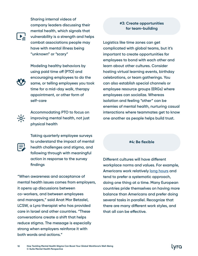**Sharing internal videos of company leaders discussing their mental health, which signals that vulnerability is a strength and helps combat associations people may have with mental illness being "unknown" or "scary"**

**Modeling healthy behaviors by using paid time off (PTO) and encouraging employees to do the same, or telling employees you took time for a mid-day walk, therapy appointment, or other form of self-care**



**Accommodating PTO to focus on improving mental health, not just physical health**



**"When awareness and acceptance of mental health issues comes from employers, it opens up discussions between co-workers, and between employees and managers," said Anat Mor Betzalel, LCSW, a Lyra therapist who has provided care in Israel and other countries. "These conversations create a shift that helps reduce stigma. The message is especially strong when employers reinforce it with both words and actions."**

#### **#3: Create opportunities for team-building**

**Logistics like time zones can get complicated with global teams, but it's important to create opportunities for employees to bond with each other and learn about other cultures. Consider hosting virtual learning events, birthday celebrations, or team gatherings. You can also establish special channels or employee resource groups (ERGs) where employees can socialize. Whereas isolation and feeling "other" can be enemies of mental health, nurturing casual interactions where teammates get to know one another as people helps build trust.** 

#### **#4: Be flexible**

**Different cultures will have different workplace norms and values. For example, Americans work relatively [long hours](https://fortune.com/2016/10/18/americans-work-hours-europeans/) and tend to prefer a systematic approach, doing one thing at a time. Many European countries pride themselves on having more balance than Americans and prefer doing several tasks in parallel. Recognize that there are many different work styles, and that all can be effective.**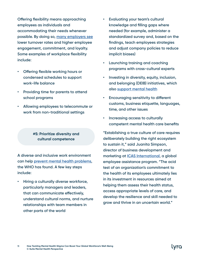**Offering flexibility means approaching employees as individuals and accommodating their needs whenever possible. By doing so, [many employers see](https://www.shrm.org/hr-today/trends-and-forecasting/special-reports-and-expert-views/documents/leveraging-workplace-flexibility.pdf) lower turnover rates and higher employee engagement, commitment, and loyalty. Some examples of workplace flexibility include:**

- **• Offering flexible working hours or condensed schedules to support work-life balance**
- **• Providing time for parents to attend school programs**
- **• Allowing employees to telecommute or work from non-traditional settings**

#### **#5: Prioritize diversity and cultural competence**

**A diverse and inclusive work environment can help [prevent mental health problems](https://www.who.int/mental_health/media/en/712.pdf), the WHO has found. A few key steps include:**

**• Hiring a culturally diverse workforce, particularly managers and leaders, that can communicate effectively, understand cultural norms, and nurture relationships with team members in other parts of the world**

- **• Evaluating your team's cultural knowledge and filling gaps where needed (for example, administer a standardized survey and, based on the findings, teach employees strategies and adjust company policies to reduce implicit biases)**
- **• Launching training and coaching programs with cross-cultural experts**
- **• Investing in diversity, equity, inclusion, and belonging (DEIB) initiatives, which also [support mental health](https://www.forbes.com/sites/onemind/2020/07/14/the-essential-role-of-mental-health-for-a-diverse-inclusive-workplace/?sh=423c69bdac4d)**
- **• Encouraging sensitivity to different customs, business etiquette, languages, time, and other issues**
- **• Increasing access to culturally competent mental health care benefits**

**"Establishing a true culture of care requires deliberately building the right ecosystem to sustain it," said Juanita Simpson, director of business development and marketing at [ICAS International,](https://icasworld.com) a global employee assistance program. "The acid test of an organization's commitment to the health of its employees ultimately lies in its investment in resources aimed at helping them assess their health status, access appropriate levels of care, and develop the resilience and skill needed to grow and thrive in an uncertain world."**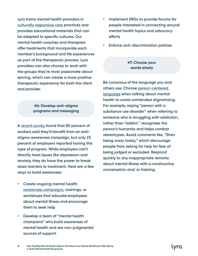**Lyra trains mental health providers in [culturally responsive care](https://www.lyrahealth.com/blog/culturally-responsive-care/) practices and provides educational materials that can be adapted to specific cultures. Our mental health coaches and therapists offer treatments that incorporate each member's background and life experiences as part of the therapeutic process. Lyra providers can also choose to work with the groups they're most passionate about serving, which can create a more positive therapeutic experience for both the client and provider.**

#### **#6: Develop anti-stigma programs and messaging**

**A [recent survey](https://www.mckinsey.com/industries/healthcare-systems-and-services/our-insights/overcoming-stigma-three-strategies-toward-better-mental-health-in-the-workplace) found that 80 percent of workers said they'd benefit from an antistigma awareness campaign, but only 23 percent of employers reported having this type of program. While employers can't directly treat issues like depression and anxiety, they do have the power to break down barriers to treatment. Here are a few ways to build awareness:**

- **• Create ongoing mental health [awareness campaigns](https://www.thementalhealthcoalition.org/how-are-you-really/), trainings, or workshops that educate employees about mental illness and encourage them to seek help**
- **• Develop a team of "mental health champions" who build awareness of mental health and are non-judgmental sources of support**
- **• Implement ERGs to provide forums for people interested in connecting around mental health topics and advocacy efforts**
- **• Enforce anti-discrimination policies**

#### **#7: Choose your words wisely**

**Be conscious of the language you and others use. Choose [person-centered](https://www.mhanational.org/person-centered-language)  [language](https://www.mhanational.org/person-centered-language) when talking about mental health to avoid unintended stigmatizing. For example, saying "person with a substance use disorder" when referring to someone who is struggling with addiction, rather than "addict," recognizes the person's humanity and helps combat stereotypes. Avoid comments like, "She's being crazy today," which discourage people from asking for help for fear of being judged or excluded. Respond quickly to any inappropriate remarks about mental illness with a constructive conversation and/or training.**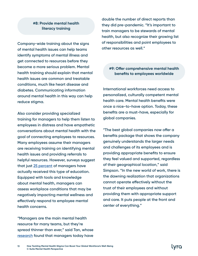#### **#8: Provide mental health literacy training**

**Company-wide training about the signs of mental health issues can help teams identify symptoms of mental illness and get connected to resources before they become a more serious problem. Mental health training should explain that mental health issues are common and treatable conditions, much like heart disease and diabetes. Communicating information around mental health in this way can help reduce stigma.** 

**Also consider providing specialized training for managers to help them listen to employees in distress and have empathetic conversations about mental health with the goal of connecting employees to resources. Many employees assume their managers are receiving training on identifying mental health issues and providing referrals to helpful resources. However, surveys suggest that just [25 percent](https://www.unum.com/about/newsroom/2019/march/mental-health-report---articles-and-research) of managers have actually received this type of education. Equipped with tools and knowledge about mental health, managers can assess workplace conditions that may be negatively impacting mental wellness and effectively respond to employee mental health concerns.** 

**"Managers are the main mental health resource for many teams, but they're spread thinner than ever," said Tan, whose [research](https://www.heykona.com/remote-manager-report) found that managers today have** 

**double the number of direct reports than they did pre-pandemic. "It's important to train managers to be stewards of mental health, but also recognize their growing list of responsibilities and point employees to other resources as well."**

#### **#9: Offer comprehensive mental health benefits to employees worldwide**

**International workforces need access to personalized, culturally competent mental health care. Mental health benefits were once a nice-to-have option. Today, these benefits are a must-have, especially for global companies.**

**"The best global companies now offer a benefits package that shows the company genuinely understands the larger needs and challenges of its employees and is providing appropriate benefits to ensure they feel valued and supported, regardless of their geographical location," said Simpson. "In the new world of work, there is the dawning realization that organizations cannot operate effectively without the trust of their employees and without providing them with appropriate support and care. It puts people at the front and center of everything."**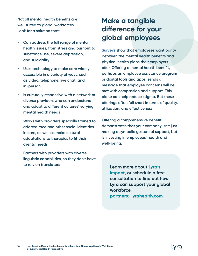**Not all mental health benefits are well suited to global workforces. Look for a solution that:**

- **• Can address the full range of mental health issues, from stress and burnout to substance use, severe depression, and suicidality**
- **• Uses technology to make care widely accessible in a variety of ways, such as video, telephone, live chat, and in-person**
- **• Is culturally responsive with a network of diverse providers who can understand and adapt to different cultures' varying mental health needs**
- **• Works with providers specially trained to address race and other social identities in care, as well as make cultural adaptations to therapies to fit their clients' needs**
- **• Partners with providers with diverse linguistic capabilities, so they don't have to rely on translators Learn more about [Lyra's](https://www.lyrahealth.com/our-impact/)**

## **Make a tangible difference for your global employees**

**[Surveys](https://www.mckinsey.com/industries/healthcare-systems-and-services/our-insights/overcoming-stigma-three-strategies-toward-better-mental-health-in-the-workplace) show that employees want parity between the mental health benefits and physical health plans their employers offer. Offering a mental health benefit, perhaps an employee assistance program or digital tools and apps, sends a message that employee concerns will be met with compassion and support. This alone can help reduce stigma. But these offerings often fall short in terms of quality, utilization, and effectiveness.**

**Offering a comprehensive benefit demonstrates that your company isn't just making a symbolic gesture of support, but is investing in employees' health and well-being.** 

> **[impact,](https://www.lyrahealth.com/our-impact/) or schedule a free consultation to find out how Lyra can support your global workforce. [partners@lyrahealth.com](mailto:partners%40lyrahealth.com?subject=)**